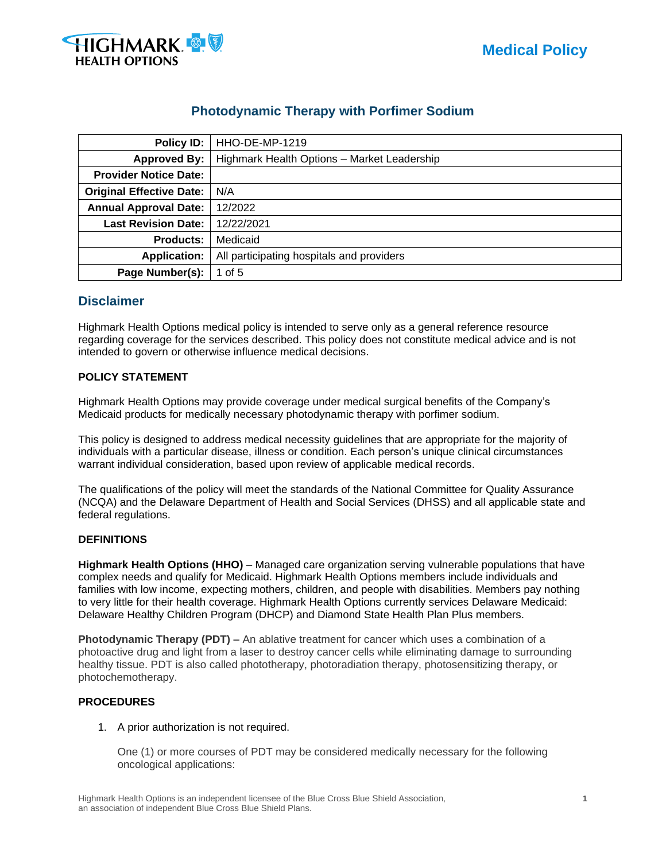

# **Photodynamic Therapy with Porfimer Sodium**

| Policy ID:                      | <b>HHO-DE-MP-1219</b>                       |  |  |  |  |  |
|---------------------------------|---------------------------------------------|--|--|--|--|--|
| <b>Approved By:</b>             | Highmark Health Options - Market Leadership |  |  |  |  |  |
| <b>Provider Notice Date:</b>    |                                             |  |  |  |  |  |
| <b>Original Effective Date:</b> | N/A                                         |  |  |  |  |  |
| <b>Annual Approval Date:</b>    | 12/2022                                     |  |  |  |  |  |
| <b>Last Revision Date:</b>      | 12/22/2021                                  |  |  |  |  |  |
| <b>Products:</b>                | Medicaid                                    |  |  |  |  |  |
| <b>Application:</b>             | All participating hospitals and providers   |  |  |  |  |  |
| Page Number(s):                 | 1 of $5$                                    |  |  |  |  |  |

# **Disclaimer**

Highmark Health Options medical policy is intended to serve only as a general reference resource regarding coverage for the services described. This policy does not constitute medical advice and is not intended to govern or otherwise influence medical decisions.

# **POLICY STATEMENT**

Highmark Health Options may provide coverage under medical surgical benefits of the Company's Medicaid products for medically necessary photodynamic therapy with porfimer sodium.

This policy is designed to address medical necessity guidelines that are appropriate for the majority of individuals with a particular disease, illness or condition. Each person's unique clinical circumstances warrant individual consideration, based upon review of applicable medical records.

The qualifications of the policy will meet the standards of the National Committee for Quality Assurance (NCQA) and the Delaware Department of Health and Social Services (DHSS) and all applicable state and federal regulations.

# **DEFINITIONS**

**Highmark Health Options (HHO)** – Managed care organization serving vulnerable populations that have complex needs and qualify for Medicaid. Highmark Health Options members include individuals and families with low income, expecting mothers, children, and people with disabilities. Members pay nothing to very little for their health coverage. Highmark Health Options currently services Delaware Medicaid: Delaware Healthy Children Program (DHCP) and Diamond State Health Plan Plus members.

**Photodynamic Therapy (PDT)** – An ablative treatment for cancer which uses a combination of a photoactive drug and light from a laser to destroy cancer cells while eliminating damage to surrounding healthy tissue. PDT is also called phototherapy, photoradiation therapy, photosensitizing therapy, or photochemotherapy.

# **PROCEDURES**

1. A prior authorization is not required.

One (1) or more courses of PDT may be considered medically necessary for the following oncological applications: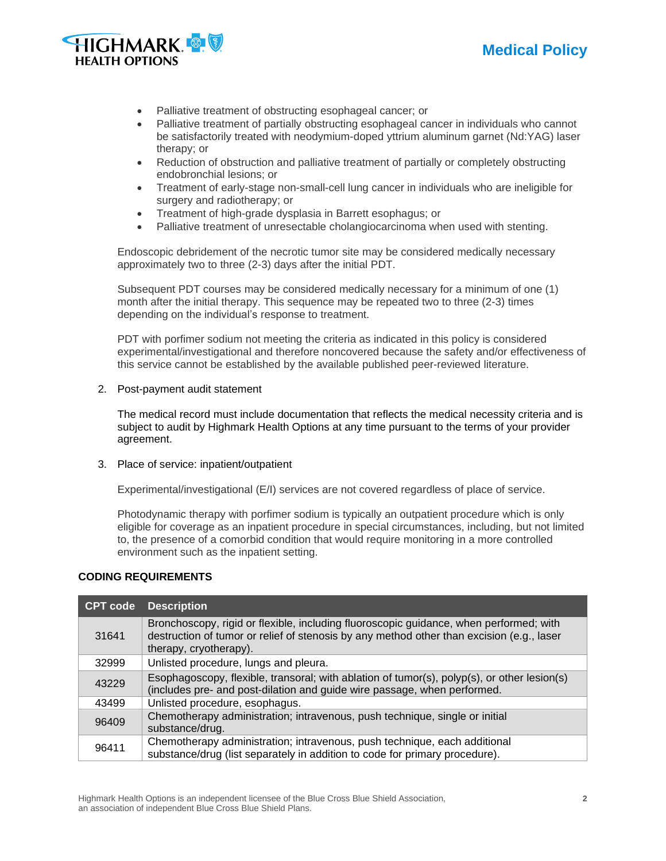



- Palliative treatment of obstructing esophageal cancer; or
- Palliative treatment of partially obstructing esophageal cancer in individuals who cannot be satisfactorily treated with neodymium-doped yttrium aluminum garnet (Nd:YAG) laser therapy; or
- Reduction of obstruction and palliative treatment of partially or completely obstructing endobronchial lesions; or
- Treatment of early-stage non-small-cell lung cancer in individuals who are ineligible for surgery and radiotherapy; or
- Treatment of high-grade dysplasia in Barrett esophagus; or
- Palliative treatment of unresectable cholangiocarcinoma when used with stenting.

Endoscopic debridement of the necrotic tumor site may be considered medically necessary approximately two to three (2-3) days after the initial PDT.

Subsequent PDT courses may be considered medically necessary for a minimum of one (1) month after the initial therapy. This sequence may be repeated two to three (2-3) times depending on the individual's response to treatment.

PDT with porfimer sodium not meeting the criteria as indicated in this policy is considered experimental/investigational and therefore noncovered because the safety and/or effectiveness of this service cannot be established by the available published peer-reviewed literature.

2. Post-payment audit statement

The medical record must include documentation that reflects the medical necessity criteria and is subject to audit by Highmark Health Options at any time pursuant to the terms of your provider agreement.

3. Place of service: inpatient/outpatient

Experimental/investigational (E/I) services are not covered regardless of place of service.

Photodynamic therapy with porfimer sodium is typically an outpatient procedure which is only eligible for coverage as an inpatient procedure in special circumstances, including, but not limited to, the presence of a comorbid condition that would require monitoring in a more controlled environment such as the inpatient setting.

# **CODING REQUIREMENTS**

| <b>CPT code</b> | <b>Description</b>                                                                                                                                                                                            |  |  |
|-----------------|---------------------------------------------------------------------------------------------------------------------------------------------------------------------------------------------------------------|--|--|
| 31641           | Bronchoscopy, rigid or flexible, including fluoroscopic guidance, when performed; with<br>destruction of tumor or relief of stenosis by any method other than excision (e.g., laser<br>therapy, cryotherapy). |  |  |
| 32999           | Unlisted procedure, lungs and pleura.                                                                                                                                                                         |  |  |
| 43229           | Esophagoscopy, flexible, transoral; with ablation of tumor(s), polyp(s), or other lesion(s)<br>(includes pre- and post-dilation and guide wire passage, when performed.                                       |  |  |
| 43499           | Unlisted procedure, esophagus.                                                                                                                                                                                |  |  |
| 96409           | Chemotherapy administration; intravenous, push technique, single or initial<br>substance/drug.                                                                                                                |  |  |
| 96411           | Chemotherapy administration; intravenous, push technique, each additional<br>substance/drug (list separately in addition to code for primary procedure).                                                      |  |  |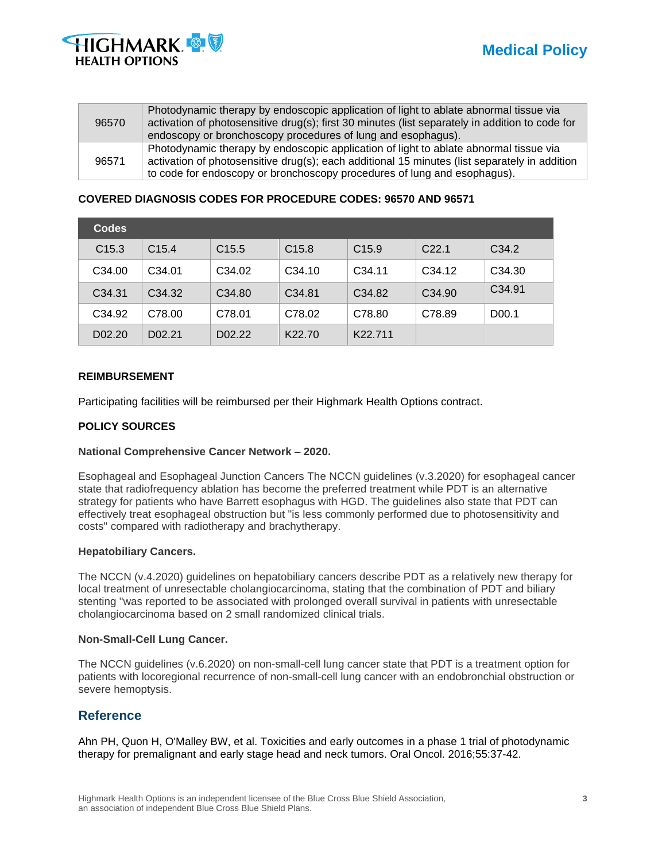



| 96570 | Photodynamic therapy by endoscopic application of light to ablate abnormal tissue via<br>activation of photosensitive drug(s); first 30 minutes (list separately in addition to code for<br>endoscopy or bronchoscopy procedures of lung and esophagus).           |
|-------|--------------------------------------------------------------------------------------------------------------------------------------------------------------------------------------------------------------------------------------------------------------------|
| 96571 | Photodynamic therapy by endoscopic application of light to ablate abnormal tissue via<br>activation of photosensitive drug(s); each additional 15 minutes (list separately in addition<br>to code for endoscopy or bronchoscopy procedures of lung and esophagus). |

# **COVERED DIAGNOSIS CODES FOR PROCEDURE CODES: 96570 AND 96571**

| <b>Codes</b>        |                    |                    |                    |                      |                    |                    |
|---------------------|--------------------|--------------------|--------------------|----------------------|--------------------|--------------------|
| C <sub>15.3</sub>   | C <sub>15.4</sub>  | C <sub>15.5</sub>  | C <sub>15.8</sub>  | C <sub>15.9</sub>    | C <sub>22.1</sub>  | C <sub>34.2</sub>  |
| C34.00              | C <sub>34.01</sub> | C <sub>34.02</sub> | C <sub>34.10</sub> | C34.11               | C <sub>34.12</sub> | C <sub>34.30</sub> |
| C <sub>34.31</sub>  | C <sub>34.32</sub> | C <sub>34.80</sub> | C <sub>34.81</sub> | C <sub>34.82</sub>   | C <sub>34.90</sub> | C <sub>34.91</sub> |
| C <sub>34.92</sub>  | C78.00             | C78.01             | C78.02             | C78.80               | C78.89             | D <sub>00.1</sub>  |
| D <sub>0</sub> 2.20 | D02.21             | D <sub>02.22</sub> | K <sub>22.70</sub> | K <sub>22</sub> .711 |                    |                    |

#### **REIMBURSEMENT**

Participating facilities will be reimbursed per their Highmark Health Options contract.

# **POLICY SOURCES**

# **National Comprehensive Cancer Network – 2020.**

Esophageal and Esophageal Junction Cancers The NCCN guidelines (v.3.2020) for esophageal cancer state that radiofrequency ablation has become the preferred treatment while PDT is an alternative strategy for patients who have Barrett esophagus with HGD. The guidelines also state that PDT can effectively treat esophageal obstruction but "is less commonly performed due to photosensitivity and costs" compared with radiotherapy and brachytherapy.

#### **Hepatobiliary Cancers.**

The NCCN (v.4.2020) guidelines on hepatobiliary cancers describe PDT as a relatively new therapy for local treatment of unresectable cholangiocarcinoma, stating that the combination of PDT and biliary stenting "was reported to be associated with prolonged overall survival in patients with unresectable cholangiocarcinoma based on 2 small randomized clinical trials.

# **Non-Small-Cell Lung Cancer.**

The NCCN guidelines (v.6.2020) on non-small-cell lung cancer state that PDT is a treatment option for patients with locoregional recurrence of non-small-cell lung cancer with an endobronchial obstruction or severe hemoptysis.

# **Reference**

Ahn PH, Quon H, O'Malley BW, et al. Toxicities and early outcomes in a phase 1 trial of photodynamic therapy for premalignant and early stage head and neck tumors. Oral Oncol. 2016;55:37-42.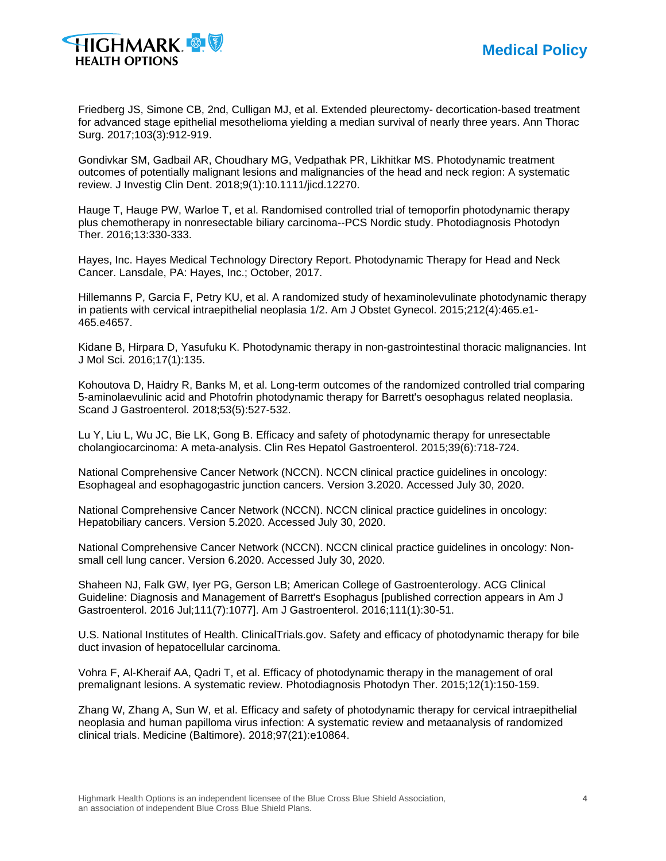

Friedberg JS, Simone CB, 2nd, Culligan MJ, et al. Extended pleurectomy- decortication-based treatment for advanced stage epithelial mesothelioma yielding a median survival of nearly three years. Ann Thorac Surg. 2017;103(3):912-919.

Gondivkar SM, Gadbail AR, Choudhary MG, Vedpathak PR, Likhitkar MS. Photodynamic treatment outcomes of potentially malignant lesions and malignancies of the head and neck region: A systematic review. J Investig Clin Dent. 2018;9(1):10.1111/jicd.12270.

Hauge T, Hauge PW, Warloe T, et al. Randomised controlled trial of temoporfin photodynamic therapy plus chemotherapy in nonresectable biliary carcinoma--PCS Nordic study. Photodiagnosis Photodyn Ther. 2016;13:330-333.

Hayes, Inc. Hayes Medical Technology Directory Report. Photodynamic Therapy for Head and Neck Cancer. Lansdale, PA: Hayes, Inc.; October, 2017.

Hillemanns P, Garcia F, Petry KU, et al. A randomized study of hexaminolevulinate photodynamic therapy in patients with cervical intraepithelial neoplasia 1/2. Am J Obstet Gynecol. 2015;212(4):465.e1- 465.e4657.

Kidane B, Hirpara D, Yasufuku K. Photodynamic therapy in non-gastrointestinal thoracic malignancies. Int J Mol Sci. 2016;17(1):135.

Kohoutova D, Haidry R, Banks M, et al. Long-term outcomes of the randomized controlled trial comparing 5-aminolaevulinic acid and Photofrin photodynamic therapy for Barrett's oesophagus related neoplasia. Scand J Gastroenterol. 2018;53(5):527-532.

Lu Y, Liu L, Wu JC, Bie LK, Gong B. Efficacy and safety of photodynamic therapy for unresectable cholangiocarcinoma: A meta-analysis. Clin Res Hepatol Gastroenterol. 2015;39(6):718-724.

National Comprehensive Cancer Network (NCCN). NCCN clinical practice guidelines in oncology: Esophageal and esophagogastric junction cancers. Version 3.2020. Accessed July 30, 2020.

National Comprehensive Cancer Network (NCCN). NCCN clinical practice guidelines in oncology: Hepatobiliary cancers. Version 5.2020. Accessed July 30, 2020.

National Comprehensive Cancer Network (NCCN). NCCN clinical practice guidelines in oncology: Nonsmall cell lung cancer. Version 6.2020. Accessed July 30, 2020.

Shaheen NJ, Falk GW, Iyer PG, Gerson LB; American College of Gastroenterology. ACG Clinical Guideline: Diagnosis and Management of Barrett's Esophagus [published correction appears in Am J Gastroenterol. 2016 Jul;111(7):1077]. Am J Gastroenterol. 2016;111(1):30-51.

U.S. National Institutes of Health. ClinicalTrials.gov. Safety and efficacy of photodynamic therapy for bile duct invasion of hepatocellular carcinoma.

Vohra F, Al-Kheraif AA, Qadri T, et al. Efficacy of photodynamic therapy in the management of oral premalignant lesions. A systematic review. Photodiagnosis Photodyn Ther. 2015;12(1):150-159.

Zhang W, Zhang A, Sun W, et al. Efficacy and safety of photodynamic therapy for cervical intraepithelial neoplasia and human papilloma virus infection: A systematic review and metaanalysis of randomized clinical trials. Medicine (Baltimore). 2018;97(21):e10864.